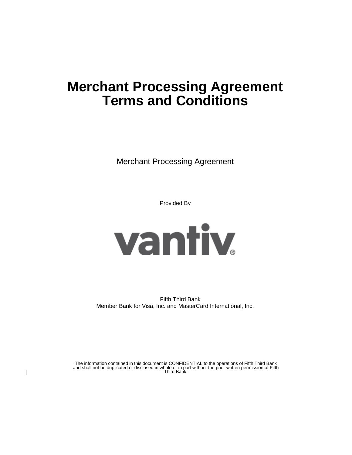# **Merchant Processing Agreement Terms and Conditions**

Merchant Processing Agreement

Provided By



Fifth Third Bank Member Bank for Visa, Inc. and MasterCard International, Inc.

The information contained in this document is CONFIDENTIAL to the operations of Fifth Third Bank and shall not be duplicated or disclosed in whole or in part without the prior written permission of Fifth Third Bank.

 $\mathbf{I}$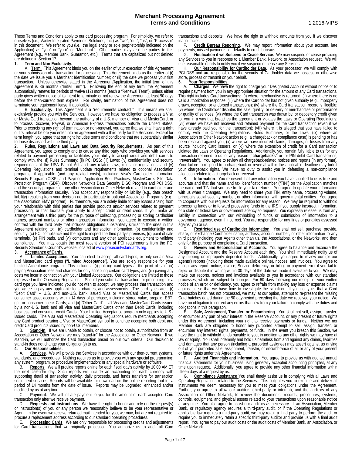These Terms and Conditions apply to our card processing program. For simplicity, we refer to ourselves (i.e., Vantiv Integrated Payments Solutions, Inc.) as "we", "our", "us", or "Processor" in this document. We refer to you (i.e., the legal entity or sole proprietorship indicated on the Application) as "you" or "your" or "Merchant." Other parties may also be parties to this Agreement (e.g., Member Bank, Guarantor, etc.). Terms that are capitalized but not defined are defined in Section 17.

### **1. Term and Non-Exclusivity.**

A. **Term.** This Agreement binds you on the earlier of your execution of this Agreement or your submission of a transaction for processing. This Agreement binds us the earlier of (i) the date we issue you a Merchant Identification Number; or (ii) the date we process your first transaction. Unless otherwise stated in the Agreement/Application, the initial term of this Agreement is 36 months ("Initial Term"). Following the end of any term, the Agreement automatically renews for periods of twelve (12) months (each a "Renewal Term"), unless either party gives written notice of its intent to terminate or not renew the Agreement at least 90 days before the then-current term expires. For clarity, termination of this Agreement does not terminate your equipment lease, if applicable

B. **Exclusivity.** This Agreement is a "requirements contract." This means we shall exclusively provide you with the Services. However, we have no obligation to process a Visa or MasterCard transaction beyond the authority of a U.S. member of Visa and MasterCard, or to process Discover, PayPal, or American Express transactions outside the United States. Prior to exercising any right of termination or non-renewal, you agree that we shall have a right of first refusal before you enter into an agreement with a third party for the Services. Except for term length, you agree that our right includes terms and conditions that are substantially similar to those discussed with the third party.

**2. Rules, Regulations and Laws and Data Security Requirements.** As part of this Agreement, you agree to comply and to cause any third party who provides you with services related to payment processing or facilitates your ability to accept credit and debit cards to comply with, the: (i) Rules Summary; (ii) PCI DSS; (iii) Laws; (iv) confidentiality and security requirements of the USA Patriot Act and any related laws, rules, or regulations; and (v) Operating Regulations and terminal update requirements related to optional Association programs, if applicable (and any related costs), including Visa's Cardholder Information Security Program (CISP) and Payment Application Best Practices, MasterCard's Site Data Protection Program (SDP), Discover Network's Data Security DISC Program and PCI DSS, and the security programs of any other Association or Other Network related to cardholder and transaction information security. You accept any responsibility or liability (e.g., data breach liability) resulting from your decision not to participate in optional Association Programs (e.g., the Association EMV program). Furthermore, you are solely liable for any losses arising from your relationship with third parties that provide products and/or services related to payment processing, or that facilitate your ability to accept credit or debit cards. If you make an<br>arrangement with a third party for the purpose of collecting, processing or storing cardholder names, account numbers or other transaction information, you agree to execute a written contract with the third party that includes obligations substantially similar to the ones in this Agreement relating to: (a) cardholder and transaction information, (b) confidentiality and security, (c) PCI compliance and the right to inspect the third party's premises, (d) point of sale terminals, (e) PIN pads, and (vi) computers and any other applicable equipment to validate compliance. You may obtain the most recent version of PCI requirements from the PCI Security Standards Council's website, located a[t www.pcisecuritystandards.org.](http://www.pcisecuritystandards.org/) **3. Acceptance of Cards.**

A. **Limited Acceptance.** You can elect to accept all card types, or only certain Visa and MasterCard card types **("Limited Acceptance**"). You are solely responsible for your Limited Acceptance program. This includes: (i) policing card types at the point of sale; (ii) paying Association fees and charges for only accepting certain card types; and (iii) paying any costs we incur in connection with your Limited Acceptance. Our obligations are limited to those expressed in the Operating Regulations. Should you submit a transaction for processing for a card type you have indicated you do not wish to accept, we may process that transaction and you agree to pay any applicable fees, charges, and assessments. The card types are: (i) "Debit Card" -- U.S. and non-U.S. bank issued Visa or MasterCard Cards that access consumer asset accounts within 14 days of purchase, including stored value, prepaid, EBT, gift, or consumer check Cards; and (ii) "Other Card" -- all Visa and MasterCard Cards issued by a non-U.S. bank and all Visa and MasterCard Cards other than Debit Cards, including business and consumer credit Cards. Your Limited Acceptance program only applies to U.S.- issued cards. The Visa and MasterCard Operating Regulations require merchants accepting any Card product bearing a Visa or MasterCard symbol to continue accepting both debit and credit Card products issued by non-U.S. members.<br>B. Stand-In. If we are unable to obtain, or

Stand-In. If we are unable to obtain, or choose not to obtain, authorization from an Association or Other Network, we may "stand-in" for the Association or Other Network. If we stand-in, we will authorize the Card transaction based on our own criteria. Our decision to stand-in does not change your obligation(s) to us.

### **4. Our Responsibilities.**

A. **Services**. We will provide the Services in accordance with our then-current systems, standards, and procedures. Nothing requires us to provide you with any special programming; any system, program, or procedure implementation; or any special hardware or software.

B. **Reports**. We will provide reports online for each fiscal day's activity by 10:00 AM ET the next calendar day. Such reports will include an accounting for each currency with supporting detail of transaction activity, daily proceeds, and funds transfers for transaction settlement services. Reports will be available for download on the online reporting tool for a period of 14 months from the date of issue. Reports may be upgraded, enhanced and/or modified by us at any time.

C. **Payment**. We will initiate payment to you for the amount of each accepted Card transaction only after we receive payment.

D. **Requests and Instructions**. We have the right to honor and rely on the request(s) or instruction(s) of you or any person we reasonably believe to be your representative or Agent. In the event we receive returned mail intended for you, we may, but are not required to, procure a replacement address according to our standard operating procedures.

E. **Processing Cards**. We are only responsible for processing credits and adjustments for Card transactions that we originally processed. You authorize us to audit all Card

transactions and deposits. We have the right to withhold amounts from you if we discover inaccuracies.

F. **Credit Bureau Reporting**. We may report information about your account, late payments, missed payments, or defaults to credit bureaus.

G. **Notification if we Suspend or Cease Service**. We may suspend or cease providing any Services to you in response to a Member Bank, Network, or Association request. We will use reasonable efforts to notify you if we suspend or cease any Services.

Our Responsibility for Cardholder Data. As your processor, we will comply with PCI DSS and are responsible for the security of Cardholder data we possess or otherwise store, process or transmit on your behalf.

**5. Your Responsibilities.**

Charges. We have the right to charge your Designated Account without notice or to require payment from you in any appropriate situation for the amount of any Card transactions.<br>This right includes Card transactions: (i) where merchandise is returned; (ii) where there is no valid authorization response; (iii) where the Cardholder has not given authority (e.g., improperly drawn, accepted, or endorsed transactions); (iv) where the Card transaction record is illegible;<br>(v) where the Cardholder disputes the sale, quality, or delivery of merchandise or performance<br>(v) where the Cardholder dispu (v) where the Cardholder disputes the sale, quality, or delivery of merchandise or performance<br>or quality of services; (vi) where the Card transaction was drawn by, or depository credit given to, you in a way that breaches the agreement or violates the Laws or Operating Regulations; (vii) where we have not received and retained payment for the Card transaction (even if we have already paid you for the transaction); (viii) where it is alleged that you have failed to comply with the Operating Regulations, Rules Summary, or the Laws; (ix) where an Association or Other Network action (e.g., a chargeback or compliance case) is pending or has been resolved against you; (x) where we have incurred claims, damages, or losses from any source including Card issuers, or (xi) where the extension of credit for a Card transaction violated the Laws or Operating Regulations. Additionally, you remain fully liable to us for any transaction returned to us for any reason (**"chargebacks"** or for PIN debit Card transactions, **"reversals"**). You agree to review all chargeback-related notices and reports (in any format). Your failure to respond to a chargeback or reversal within the applicable deadline may forfeit your chargeback rights. We have no duty to assist you in defending a non-compliance allegation related to a chargeback or reversal.<br>B. **Information**. You represent that an

**Information**. You represent that any information you have supplied to us is true and accurate and that the name and tax identification number ("TIN") on the Application matches the name and TIN that you use to file your tax returns. You agree to update your information with us when it changes. We may need to share your TIN, entity name, processing volume, principal's social security number, or other information with governmental entities. You agree to cooperate with our requests for information for any reason. We may be required to withhold<br>processing funds or to forward processing funds to the IRS if you supply incorrect information, or a state or federal law or government agency so requires. You expressly release us from any liability in connection with our withholding of funds or submission of information to a government agency, even if incorrect. You are responsible for any fines or penalties assessed against you or us.

C. **Restricted use of Cardholder Information**. You shall not sell, purchase, provide, share, or exchange Cardholder name, address, account number, or other information to any third party (including your Agent) other than us, the Associations, or the Networks, and then only for the purpose of completing a Card transaction.

D. **Review and Reconciliation of Accounts**. You agree to balance and reconcile the Designated Account and the Reserve Account each day. You shall immediately notify us of any missing or improperly deposited funds. Additionally, you agree to review our (or our<br>agents') reports (including those made available online), notices, and invoices. You agree to accept any report, notice, invoice, Service deficiency, or billing or payment error if you fail to reject or dispute it in writing within 30 days of the date we made it available to you. We may make our reports, notices and invoices available to you in accordance with our standard processes, which are subject to change. For 60 days following our receipt of your written notice of an error or deficiency, you agree to refrain from making any loss or expense claims against us so that we have time to investigate the situation. If you notify us that a Card transaction batch has not processed, we may, at our option, attempt to re-present the missing Card batches dated during the 90 day-period preceding the date we received your notice. We have no obligation to correct any errors that flow from your failure to comply with the duties and obligations in this paragraph.

E. **Sale, Assignment, Transfer, or Encumbering**. You shall not sell, assign, transfer, or encumber any part of your interest in the Reserve Account, or any present or future rights under this Agreement, including your right to receive payments or funds. Neither we nor Member Bank are obligated to honor any purported attempt to sell, assign, transfer, or encumber any interest, rights, payments, or funds. In the event you breach this Section, we have the right to withhold funds payable to you, in addition to any other rights we may have at law or equity. You shall indemnify and hold us harmless from and against any claims, liabilities and damages that any person (including a purported assignee) may assert against us arising out of your purported sale, assignment, transfer, or encumbrance of all or any of your present or future rights under this Agreement.

Audited Financials and Information. You agree to provide us with audited annual financial statements for your business using generally accepted accounting principles, at any time upon request. Additionally, you agree to provide any other financial information within<br>fifteen days of a request by us.

fifteen days of a request by us.<br>G. Compliance Assistance You shall timely assist us in complying with all Laws and Operating Regulations related to the Services. This obligates you to execute and deliver all instruments we deem necessary for you to meet your obligations under the Agreement. Further, you agree to allow our auditors (third-party or internal), and the auditors of any Association or Other Network, to review the documents, records, procedures, systems, controls, equipment, and physical assets related to your transactions upon reasonable notice at any time. You also agree to assist our auditors as necessary. If an Association, Member Bank, or regulatory agency requires a third-party audit, or if the Operating Regulations or applicable law requires a third-party audit, we may retain a third party to perform the audit or require you to immediately retain a specific third-party auditor and provide us with a final audit report. You agree to pay our audit costs or the audit costs of Member Bank, an Association, or Other Network.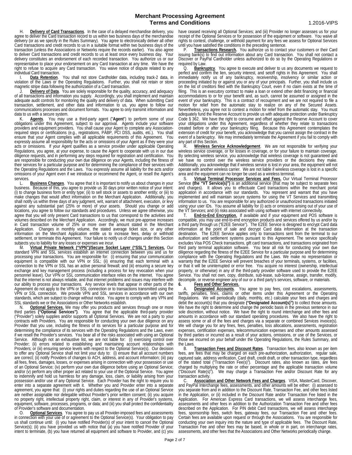H. **Delivery of Card Transactions**. In the case of a delayed merchandise delivery, you agree to deliver the Card transaction record to us within two business days of the merchandise delivery (or as we specify in the Rules Summary). You agree to electronically deliver all other Card transactions and credit records to us in a suitable format within two business days of the transaction (unless the Associations or Networks require the records earlier). You also agree to deliver Card transactions and credit records to us at least once every business day. Your delivery constitutes an endorsement of each recorded transaction. You authorize us or our representative to place your endorsement on any Card transaction at any time. We have the right to refuse to acquire any Card transaction. You waive notice of dispute related to any individual Card transaction.

I. **Data Retention**. You shall not store Cardholder data, including track-2 data, in violation of the Laws or the Operating Regulations. Further, you shall not retain or store magnetic stripe data following the authorization of a Card transaction.

J. **Delivery of Data**. You are solely responsible for the quality, accuracy, and adequacy of all transactions and information you supply. Accordingly, you shall implement and maintain adequate audit controls for monitoring the quality and delivery of data. When submitting Card transaction, settlement, and other data and information to us, you agree to follow our communications processes and document formats. You agree to only transmit information and data to us with a secure system.

K. **Agents**. You may use a third-party agent ("Agent") to perform some of your<br>obligations under this Agreement, subject to our approval. Agents include your software<br>providers and equipment providers. You shall cause your required steps or certifications (e.g., registrations, PABP, PCI DSS, audits, etc.). You shall ensure that your Agent complies with all applicable requirements of this Agreement. You<br>expressly assume all responsibility for the acts or omissions of your Agent as if they were your acts or omissions. If your Agent qualifies as a service provider under applicable Operating Regulations, you agree, at your expense, to cause the Agent to cooperate with us in our due diligence requests, and in performing any steps required for registration and certification. You are responsible for conducting your own due diligence on your Agents, including the fitness of their services for a particular purpose and for determining the compliance of their services with the Operating Regulations and the Laws. You expressly assume all liability for the acts and/or omissions of your Agent even if we introduce or recommend the Agent, or resell the Agent's services<br>L.

Business Changes. You agree that it is important to notify us about changes in your business. Because of this, you agree to provide us 30 days prior written notice of your intent: (i) to change business form or entity type; (ii) to sell stock or assets to another entity; or (iii) to make changes that would affect information on the Merchant Application. Additionally, you shall notify us within three days of any judgment, writ, warrant of attachment, execution, or levy against any substantial part (25% or more) of your assets. Should you change or add locations, you agree to follow our standards and procedures. Unless we agree otherwise, you agree that you will only present Card transactions to us that correspond to the activities and volumes described on the Merchant Application. Accordingly, we must pre-approve increases in Card transaction volume of 25% or more over the amount stated in the Merchant Application. Changes in monthly volume, the stated average ticket size, or any other information on the Merchant Application entitle us to increase fees, delay or withhold settlement, or terminate this Agreement. Your failure to notify us of changes under this Section subjects you to liability for any losses or expenses we incur.

M. **Virtual Private Network ("VPN")/Secure Socket Layer ("SSL") Services.** Our standard VPN and SSL services establish an internet connection between you and us for processing your transactions. You are responsible for: (i) ensuring that your communication equipment is compatible with our VPN or SSL; (ii) ensuring that each terminal with a connection to the VPN or SSL has an active personal firewall; and (iii) ensuring a secure key exchange and key management process (including a process for key revocation when your personnel leave). Our VPN or SSL communication interface relies on the internet. You agree that the internet is not always reliable, and that internet problems and issues may interfere with our ability to process your transactions. Any service levels that appear in other parts of the Agreement do not apply to the VPN or SSL connection or to transactions transmitted using the VPN or SSL connection. We provide VPN and SSL services in accordance with our own standards, which are subject to change without notice. You agree to comply with any VPN and SSL standards we or the Associations or Other Networks establish.

N. **Optional Services.** We may offer you products and services through one or more third parties **("Optional Services")**. You agree that the applicable third-party provider ("Provider") solely supplies and/or supports all Optional Services. We are not a party to your contracts with Providers. You are responsible for conducting your own due diligence on any Provider that you use, including the fitness of its services for a particular purpose and for determining the compliance of its services with the Operating Regulations and the Laws, even if we resell the Provider's services. You bear all of the risks associated with using an Optional Service. Although not an exhaustive list, we are not liable for: (i) exercising control over<br>Provider; (ii) errors related to establishing and maintaining account relationships with Providers; or (iii) ensuring service levels with respect to the Optional Service(s). Our decision to offer any Optional Service shall not limit your duty to: (i) ensure that all account numbers are correct; (ii) notify Providers of changes to ACH, address, and account information; (iii) pay all fees, fines, damages, losses, or expenses arising in connection with your possession or use of an Optional Service; (iv) perform your own due diligence before using an Optional Service; and/or (v) perform any other proper act related to your use of the Optional Service. You agree to indemnify and hold us harmless for any damage, loss, claim, or liability arising from your possession and/or use of any Optional Service. Each Provider has the right to require you to enter into a separate agreement with it. Whether you and Provider enter into a separate agreement, you agree that: (i) your rights and duties regarding the use of an Optional Service are neither assignable nor delegable without Provider's prior written consent; (ii) you acquire no property right, intellectual property right, claim, or interest in any of Provider's systems, equipment, software, processes, programs, or data; and (iii) you shall protect the confidentiality of Provider's software and documentation.

O. **Optional Services**. You agree to pay us all Provider-imposed fees and assessments in connection with your use of or agreement to the Optional Service(s). Your obligation to pay us shall continue until: (i) you have notified Provider(s) of your intent to cancel the Optional<br>Service(s); (ii) you have provided us with notice that (a) you have notified Provider of your intent to terminate, (b) you have returned all equipment and software to Provider, and (c) you

have ceased receiving all Optional Services; and (iii) Provider no longer assesses us for your receipt of the Optional Services or for possession of the equipment or software. You waive all rights to contest, challenge, or withhold payment for any fees we assess for Optional Services until you have satisfied the conditions in the preceding sentence.

P. **Transactions Research.** You authorize us to contact your customers or their Card issuing bank(s) to find out information about any Card transaction. You shall not contact a Discover or PayPal Cardholder unless authorized to do so by the Operating Regulations or required by Law.<br>O. Bankru

**Bankruptcy**. You agree to execute and deliver to us any documents we request to perfect and confirm the lien, security interest, and setoff rights in this Agreement. You shall immediately notify us of any bankruptcy, receivership, insolvency or similar action or proceeding initiated by or against you or any of your principals. Further, you shall include us<br>on the list of creditors filed with the Bankruptcy Court, even if no claim exists at the time of filing. This is an executory contract to make a loan or extend other debt financing or financial accommodations to or for your benefit and, as such, cannot be assumed or assigned in the event of your bankruptcy. This is a contract of recoupment and we are not required to file a motion for relief from the automatic stay to realize on any of the Secured Assets. Nevertheless, you agree not to contest a motion for relief from the automatic stay. You must adequately fund the Reserve Account to provide us with adequate protection under Bankruptcy Code § 362. We have the right to consume and offset against the Reserve Account to cover your obligations under this Agreement, regardless of whether they relate to transactions created before or after your bankruptcy filing. Because this Agreement contemplates the extension of credit for your benefit, you acknowledge that you cannot assign the contract in the event of a bankruptcy. We may immediately terminate the Agreement if you fail to comply with any part of this Section.

R. **Wireless Service Acknowledgement**. We are not responsible for verifying your wireless service coverage, or for losses in coverage, or for your failure to maintain coverage. By selecting wireless service, you acknowledge that wireless coverage is not guaranteed and we have no control over the wireless service providers or the decisions they make. Additionally, you acknowledge that if wireless service is lost in your area, the equipment will not operate with another wireless carrier. We are not liable if wireless coverage is lost in a specific area and the equipment can no longer be used as a wireless terminal.

S. **Virtual Terminal Processor Services and Fees.** Our Virtual Terminal Processor Service (the "VT Service(s)") is an additional service (that may be subject to separate fees and charges). It allows you to effectuate Card transactions within the merchant portal application in accordance with our standards. You represent and warrant that you have implemented and will maintain secure systems for using the VT Services and transmitting information to us. You are responsible for any authorized or unauthorized transactions initiated using your user IDs. You assume all liability for (i) acts or omissions arising out of your use of<br>the VT Services; and (ii) risks associated with using software with internet connectivity.

T. **End-to-End Encryption.** If available and if your equipment and POS software is compatible, you may use end-to-end encryption products and services offered by us and/or by<br>a third party through us ("E2EE Service"). The E2EE Service is designed to encrypt Card data information at the point of sale and decrypt Card data information at the transaction destination. The E2EE Service applies only to transactions sent from the terminal to our authorization and settlement systems pursuant to this Agreement. The service specifically excludes Visa POS Check transactions, gift card transactions, and transactions originated from third party terminal application software. You bear all risk for conducting your own due diligence regarding the fitness of the E2EE Service for a particular purpose and for determining compliance with the Operating Regulations and the Laws. We make no representation or warranty that the E2EE Service will prevent breaches of your terminals, systems, or facilities,<br>or that it will be uninterrupted or error free. You acquire no interest (ownership, intellectual property, or otherwise) in any of the third-party provider software used to provide the E2EE Service. You shall not own, copy, distribute, sub-lease, sub-license, assign, transfer, modify, decompile, or reverse engineer any of our or a third party's services, software, or materials.

**6. Fees and Other Services.**

Designated Accounts. You agree to pay fees, cost escalations, assessments, tariffs, penalties, fines, claims or other items under this Agreement or the Operating Regulations. We will periodically (daily, monthly, etc.) calculate your fees and charges and debit the account(s) that you designate **("Designated Account(s)")** to collect those amounts.<br>We have the right to determine and change the periodic basis in the previous sentence in our sole discretion, without notice. We have the right to round interchange and other fees and amounts in accordance with our standard operating procedures. We also have the right to assess some or all of the fees and charges via a separate or combined Services invoice(s). We will charge you for any fines, fees, penalties, loss allocations, assessments, registration expenses, certification expenses, telecommunication expenses and other amounts assessed by third parties or incurred as a result of your actions, omissions, or use of the Services, or those we incurred on your behalf under the Operating Regulations, the Rules Summary, and the Laws.

B. **Transaction Fees and Discount Rates**. Transaction fees, also known as per item fees, are fees that may be charged on each pre-authorization, authorization, regular sale, captured sale, address verification, Card draft, credit draft, or other transaction type, regardless of the stated total ("Transaction Fee(s)"). Discount rates, also known as rates, are fees charged by multiplying the rate or other percentage and the applicable transaction volume ("Discount Rate(s)"). We may charge a Transaction Fee and/or Discount Rate for any transaction activity.

C. **Association and Other Network Fees and Charges**. VISA, MasterCard, Discover, and PayPal Interchange fees, assessments, and other amounts will be either: (i) assessed to you separate from and in addition to the Discount Rate, Transaction Fee, and other fees listed in the Application, or (ii) included in the Discount Rate and/or Transaction Fee listed in the Application. For American Express Card transactions, we will assess interchange fees, assessments and other fees in addition to the Authorization Transaction Fee and other fees described on the Application. For PIN debit Card transactions, we will assess interchange fees, sponsorship fees, switch fees, gateway fees, our Transaction Fee and other fees. Certain fees are available upon request or through the Associations. You are responsible for conducting your own inquiry into the nature and type of applicable fees. The Discount Rate, Transaction Fee and other fees may be based, in whole or in part, on interchange rates, assessments, and other fees that the Associations and Other Networks periodically change.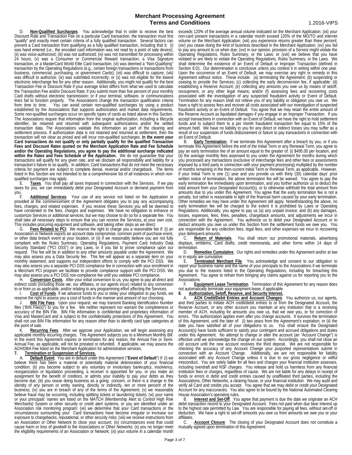Page 3 of 7

D. **Non-Qualified Surcharges**. You acknowledge that in order to receive the best Discount Rate and Transaction Fee on a particular Card transaction, the transaction must first "qualify" and exactly meet certain criteria of a fully qualified transaction. Several factors can prevent a Card transaction from qualifying as a fully qualified transaction, including that it: (i) was hand entered (i.e., the encoded card information was not read by a point of sale device);<br>(ii) was voice-authorized; (iii) was not authorized; (iv) was not transmitted for processing within 24 hours; (v) was a Consumer or Commercial Reward transaction, a Visa Signature transaction, or a MasterCard World Elite Card transaction; (vi) was deemed a "Non-Qualifying" transaction by the Operating Regulations (e.g., certain foreign transactions or transactions from<br>business, commercial, purchasing, or government Cards); (vii) was difficult to capture; (viii) was difficult to authorize; (ix) was submitted incorrectly; or (x) was not eligible for the lowest electronic interchange fee for any other reason. Additionally, you might not qualify for the best Transaction Fee or Discount Rate if your average ticket differs from what we used to calculate the Transaction Fee and/or Discount Rate; if you submit more than five percent of your monthly Card drafts without electronic transmission; or if your terminal, software, or communications lines fail to function properly. The Associations change the transaction qualification criteria from time to time. You can avoid certain non-qualified surcharges by using a product established by the Associations that supports authorization and market data requirements.<br>Some non-qualified surcharges occur on specific types of cards as listed above in this Section. The Associations require that information from the original authorization, including a lifecycle identifier, be retained and returned with subsequent authorizations and/or the settled transaction data. The Associations validate this information as part of the clearing and settlement process. If authorization data is not retained and returned at settlement, then the transaction will not clear as priced and will incur non-qualified surcharges. **In the event your Card transactions do not qualify or only partially qualify for the qualified Transaction Fees and Discount Rates quoted on the Merchant Application Rate and Fee Schedule and/or the Operating Regulations, you agree to pay the additional surcharge indicated within the Rates and Fees Schedule of the Application.** We do not guarantee that your transactions will qualify for any given rate, and we disclaim all responsibility and liability for a transaction's failure to so qualify. In addition, Card transactions that do not meet the necessary criteria for payment are subject to complete denial, reversal and/or chargeback. The items listed in this Section are not intended to be a comprehensive list of all instances in which non-<br>qualified surcharges may apply.<br>E. Taxes. You shall pay all taxes imposed in connection with the Services. If we pay

Taxes. You shall pay all taxes imposed in connection with the Services. If we pay taxes for you, we can immediately debit your Designated Account or demand payment from

you. F. **Additional Services**. Your use of any service not listed on the Application or provided at the commencement of the Agreement obligates you to pay any accompanying fees, charges, and related expenses. If you receive these Services you will be deemed to have consented to the fees, charges and expenses. We have no obligation to enhance or customize Services or additional services, but we may choose to do so for a separate fee. You shall take all necessary steps to ensure that you can receive the Services, at your own cost. This includes procuring equipment and software, and taking other steps as we direct.

G. **Fees Related to PCI.** We reserve the right to charge you a reasonable fee if: (i) an Association or Network reports an account data compromise, common point of purchase event, or other data breach event at your location, or (ii) if we reasonably believe you are not fully compliant with the Rules Summary, Operating Regulations, Payment Card Industry Data Security Standard ("PCI DSS") or any Laws, or if you fail to prove compliance upon our request. This fee will be in addition to any other amounts payable under the Agreement. We may also assess you a Data Security fee. This fee will appear as a separate item on your monthly statement, and supports our independent efforts to comply with the PCI DSS. We may also assess you a separate PCI DSS compliance fee in connection with your enrollment in a Merchant PCI program we facilitate to provide compliance support with the PCI DSS. We may also assess you a PCI DSS non-compliance fee until you validate PCI compliance.

H. **Conversion Costs**. After your initial conversion to us, you agree to pay all direct and indirect costs (including those we, our affiliates, or our agents incur) related to any conversion to or from us as applicable, and/or relating to any programming effort affecting the Services. I. **Cost of Funds**. If we advance funds to you or delay your obligation to pay funds, we

reserve the right to assess you a cost of funds in the manner and amount of our choosing.<br> $\frac{1}{2}$ ,  $\frac{1}{2}$ ,  $\frac{1}{2}$ ,  $\frac{1}{2}$ ,  $\frac{1}{2}$ ,  $\frac{1}{2}$ ,  $\frac{1}{2}$ ,  $\frac{1}{2}$ ,  $\frac{1}{2}$ ,  $\frac{1}{2}$ ,  $\frac{1}{2}$ ,  $\frac{1}{2}$ , J. **BIN File Fees**. Upon your request, we may transmit Banking Identification Number files ("BIN File(s)") to you for a fee. We neither represent nor warrant the completeness or accuracy of the BIN File. BIN File information is confidential and proprietary information of Visa and MasterCard and is subject to the confidentiality protections of this Agreement. You shall not use BIN File information for any reason other than to identify card type categories at

the point of sale.<br>K. Recurr Recurring Fees. After we approve your Application, we will begin assessing any applicable monthly recurring charges. This Agreement subjects you to a Minimum Monthly Bill. In the event this Agreement expires or terminates for any reason, the Annual Fee or Semi-Annual Fee, as applicable, will not be prorated or refunded. If applicable, we may assess the ACH/DBA Fee listed on the Merchant Application for administrative services.<br>7. Termination or Suspension of Services.

**1. Termination or Suspension of Services.**<br>A. **Default Event**. You are in default under this Agreement ("Event of Default") if: (i) we believe there has been a material or potentially material deterioration of your financial condition; (ii) you become subject to any voluntary or involuntary bankruptcy, insolvency, reorganization or liquidation proceeding, a receiver is appointed for you, or you make an assignment for the benefit of creditors, or admits your inability to pay your debts as they become due; (iii) you cease doing business as a going concern, or there is a change in the identity of any person or entity owning, directly or indirectly, ten or more percent of the<br>business; (iv) you are in breach of any of the terms of the Agreement; (v) we reasonably believe fraud may be occurring, including splitting tickets or laundering tickets; (vi) your name<br>or your principals' names are listed on the MATCH (Membership Alert to Control High Risk or your principals' names are listed on the MATCH (Membership Alert to Control High Risk<br>Merchants) System or other security or credit alert systems, or you are identified under an Association risk monitoring program; (vii) we determine that your Card transactions or the circumstances surrounding your Card transactions have become irregular or increase our<br>exposure to chargebacks, reputational, or other security risks; (viii) we receive instructions from an Association or Other Network to close your account; (ix) circumstances exist that could cause harm or loss of goodwill to the Associations or Other Networks; (x) you no longer meet the eligibility requirements of an Association or Network; (xi) your volume in a calendar month

exceeds 120% of the average annual volume indicated on the Merchant Application; (xii) your non-card present transactions in a calendar month exceed 120% of the MO/TO and internet (xiv) you cease doing the kind of business described in the Merchant Application; (xv) you fail to pay any amount to us when due; (xvi) in our opinion, provision of a Service might violate the Operating Regulations, Rules Summary, or the Laws; or (xvii) we believe that you have violated or are likely to violate the Operating Regulations, Rules Summary, or the Laws. We shall determine the existence of an Event of Default or Improper Transaction (defined in Section 8.D). Our determination is conclusive unless you contest it in writing within one year. Upon the occurrence of an Event of Default, we may exercise any right or remedy in this Agreement without notice. These include: (a) terminating the Agreement; (b) suspending or ceasing to provide the Services; (c) collecting the early deconversion fee, if applicable; (d) establishing a Reserve Account; (e) collecting any amounts you owe us by means of setoff, recoupment, or any other legal means; and/or (f) assessing fees and recovering costs associated with the investigation of any suspected fraudulent activity or Event of Default.<br>Termination for any reason shall not relieve you of any liability or obligation you owe us. We have a right to assess fees and recover all costs associated with our investigation of suspected fraudulent activity or an Event of Default. You agree that we may retain the entire amount of the Reserve Account as liquidated damages if you engage in an Improper Transaction. If you accept transactions in connection with an Event of Default, we have the right to hold settlement funds and to subject them to a per month fraudulent transaction fee equal to 15% of the amount held. We have no liability to you for any direct or indirect losses you may suffer as a result of our suspension of funds disbursement or failure to pay transactions in connection with

B. **Early Termination**. If we terminate this Agreement after a breach by you, or if you terminate this Agreement before the end of the Initial Term or any Renewal Term, you agree to pay an early termination fee of an amount equal to the greater of: (i) \$495.00 per location, and (ii) the average monthly fees assessed to you under the Agreement for months during which you processed any transactions (exclusive of interchange fees and other fees or assessments imposed by a third party in connection with your payment processing) multiplied by the number of months remaining in the then-current Initial Term or Renewal Term, as applicable. However, if your Initial Term is one (1) year and you provide us with thirty (30) calendar days' prior early termination fee immediately upon termination, and you further authorize us to deduct the total amount from your Designated Account(s), or to otherwise withhold the total amount from amounts due to you under this Agreement. You agree that the early termination fee is not a penalty, but rather is reasonable in light of the financial harm caused by your early termination. Other remedies we may have under this Agreement still apply. Notwithstanding the above, no early termination fee will be charged to the extent it is prohibited by Laws or Operating Regulations. Additionally, you agree to pay us (a) any unpaid invoice; and (b) any damages, losses, expenses, fees, fines, penalties, chargeback amounts, and adjustments we incur in connection with the Agreement. You authorize us to debit your Designated Account or to deduct amounts you owe us under this Section from the settlement funds we owe you. You are responsible for any collection fees, legal fees, and other expenses we incur in recovering your delinquent amounts.

C. **Return of Materials**. You shall return our promotional materials, advertising displays, emblems, Card drafts, credit memoranda, and other forms within 14 days of termination.<br>D. Re

Remedies Cumulative. Our rights and remedies under this Agreement and/or at law or in equity are cumulative.<br>F. Terminated Mer

**Terminated Merchant File**. You acknowledge and consent to our obligation to report your business name and the name of your principals to the Associations if we terminate you due to the reasons listed in the Operating Regulations, including for breaching this Agreement. You agree to refrain from bringing any claims against us for reporting you to the Associations

F. **Equipment Lease Termination**. Termination of this Agreement for any reason does not automatically terminate your equipment lease, if applicable. **8. Authorization, Setoff, Reserve, and Security Interest.** 

A. **ACH Credit/Debit Entries and Account Changes**. You authorize us, our agents, and third parties to initiate ACH credit/debit entries to or from the Designated Account, the Reserve Account, or any other account you maintain at any institution that is a receiving member of ACH, including for amounts you owe us, that we owe you, or for correction of errors. This authorization applies even after you change accounts. It survives the termination of this Agreement, until the later of: (i) two years from the Agreement's expiration; or (ii) the date you have satisfied all of your obligations to us. You shall ensure the Designated Account(s) have funds sufficient to satisfy your contingent and accrued obligations and duties under this Agreement. No attempt to change or alter the account (an "Account Change") is effective until we acknowledge the change on our system. Accordingly, you shall not close an old account until the new account receives the third deposit. We are not responsible for checking the accuracy of any Account Change your purported representatives submit in connection with an Account Change. Additionally, we are not responsible for liability associated with any Account Change unless it is due to our gross negligence or willful misconduct. You are solely liable for all fees and charges your financial institution assesses, including overdraft and NSF charges. You release and hold us harmless from any financial institution fees or charges, regardless of cause. We are not liable for any delays in receipt of funds or errors in debit and credit entries caused by unaffiliated third parties, including the Associations, Other Networks, a clearing house, or your financial institution. We may audit and verify all Card and credits you accept. You agree that we may debit or credit your Designated Account for any inaccuracies. You also agree to be bound by the National Automated Clearing House Association's operating rules.

B. **Interest and Set-Off**. You agree that payment is due the date we originate an ACH debit transaction record to your Designated Account. Fees not paid when due bear interest up to the highest rate permitted by Law. You are responsible for paying all fees, without set-off or deduction. We have a right to set-off amounts you owe us from amounts we owe you or your affiliates.

C. **Account Closure**. The closing of your Designated Account does not constitute a mutually agreed upon termination of this Agreement.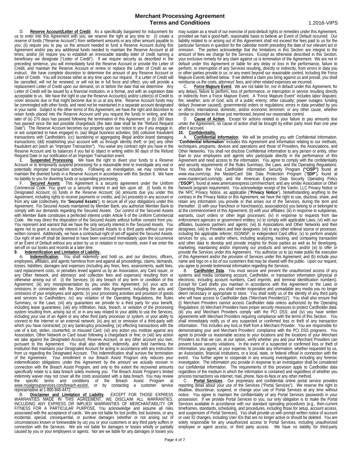D. **Reserve Account/Letter of Credit**. As a specifically bargained for inducement for us to enter into this Agreement with you, we reserve the right at any time to: (i) create a reserve of funds ("Reserve Account") from settlement amounts or any other amount payable to you; (ii) require you to pay us the amount needed to fund a Reserve Account during this Agreement and/or pay any additional funds needed to maintain the Reserve Account at all times; and/or (iii) require you to establish an irrevocable standby letter of credit naming a beneficiary we designate ("Letter of Credit"). If we require security as described in the preceding sentence, you will immediately fund the Reserve Account or provide the Letter of Credit, and maintain the Reserve Account or renew or replace the Letter of Credit as we instruct. We have complete discretion to determine the amount of any Reserve Account or Letter of Credit. You will increase either at any time upon our request. If a Letter of Credit will be cancelled, will not be renewed, or will not be in full force and effect, you will provide a replacement Letter of Credit upon our demand, on or before the date that we determine Any Letter of Credit will be issued by a financial institution, in a format, and with an expiration date acceptable to us. We have the right to use the Reserve Account(s) and/or Letter(s) of Credit to cover amounts due or that might become due to us at any time. Reserve Account funds may be commingled with other funds, and need not be maintained in a separate account designated in your name. Subject to the other terms of this Agreement, we have the right and discretion to retain funds placed into the Reserve Account until you request the funds in writing, and the later of (a) 270 days has passed following the termination of this Agreement; or (b) 180 days has passed since the last possible chargeback (the later date shall be the "Refund Request<br>Date"). The Reserve Account becomes our property upon our notice to you if you engage in, Date"). The Reserve Account becomes our property upon our notice to you if you engage in, or are suspected to have engaged in, (aa) illegal business activities; (bb) collusive fraudulent transactions with Cardholders; (cc) laundering or aggregating illegal and/or brand damaging transactions; (dd) establishing your account with us through identity theft; or (ee) any other fraudulent act (each an "Improper Transaction"). You waive any contract right you have in the

Reserve Account and its balances if you fail to object in writing within 90 days of the Refund Request Date or our notification of an Improper Transaction event. E. **Suspended Processing**. We have the right to divert your funds to a Reserve Account or to temporarily suspend processing for a reasonable time to investigate any real or potentially improper transaction activity. Following an investigation, we may continue to maintain the diverted funds in a Reserve Account in accordance with this Section 8. We have

no liability to you for diverting funds or suspending processing.<br>F Secured Assets This Agreement is a security Secured Assets. This Agreement is a security agreement under the Uniform Commercial Code. You grant us a security interest in and lien upon all: (i) funds in the Designated Account; (ii) funds in the Reserve Account; (iii) amounts due you under this Agreement, including rights to receive payments or credits; and (iv) proceeds in any account or from any sale (collectively, the "**Secured Assets**"), to secure all of your obligations under this Agreement. For Secured Assets maintained by Member Bank, you authorize Member Bank to comply with our demands regarding the Secured Assets. Our control of the Secured Assets with Member Bank constitutes a perfected interest under Article 9 of the Uniform Commercial<br>Code. We may direct the disposition of the Secured Assets without further consent from you. You represent and warrant that we have the only security interest in the Secured Assets. You agree not to grant a security interest in the Secured Assets to a third party without our prior written consent. Additionally, we have a contractual right of set-off against the Secured Assets. Our right of set-off shall be deemed to have been exercised immediately upon the occurrence For an Event of Default without any action by us or notation in our records, even if we enter the set-off on our books and records at a later time.

## 9. **Indemnification and Limitation of Liability.**

A. **Indemnification**. You shall indemnify and hold us, and our directors, officers, employees, affiliates, and agents harmless from and against all proceedings, claims, demands, losses, liabilities, damages and expenses (including any fines, fees, assessments, audit fees, card replacement costs, or penalties levied against us by an Association, any Card issuer, or any Other Network, and attorneys' and collection fees and expenses) resulting from or otherwise arising out of: (i) the Services; (ii) any breach of any term or condition of this Agreement; (iii) any misrepresentation by you under this Agreement; (iv) your acts or omissions in connection with the Services under this Agreement, including the acts and omissions of your employees and agents; (v) your processing activities and provision of goods and services to Cardholders; (vi) any violation of the Operating Regulations, the Rules Summary, or the Laws; (vii) any guarantees we provide to a third party for your benefit, including lease guarantees; (viii) any infiltration, hack, breach, or violation of the processing system resulting from, arising out of, or in any way related to your ability to use the Services, including your use of an Agent or any other third party processor or system, or your ability to connect to the Internet or an external network; (ix) any act or omission of a third-party with which you have contracted; (x) any bankruptcy proceeding; (xi) effecting transactions with the use of a lost, stolen, counterfeit, or misused Card; (xii) any action you institute against any Association, Other Network or Card issuer following a chargeback or fine; or (xiii) any action we take against the Designated Account, Reserve Account, or any other account you own, pursuant to this Agreement. You shall also defend, indemnify, and hold harmless the institution that maintains your Designated Account for acting in accordance with any instruction from us regarding the Designated Account. This indemnification shall survive the termination of the Agreement. Your enrollment in our Breach Assist Program only reduces your indemnification obligations under this Agreement by the amount we actually recover in connection with the Breach Assist Program, and only to the extent the recovered amounts specifically relate to a data breach solely involving you. The Breach Assist Program's limited indemnity waiver may not cover all the costs associated with a data breach. You may review<br>the specific terms and conditions of the Breach Assist Program at specific terms and conditions of the Breach Assist Program at<br>oyalgroupservices.com/breach-assist/, or by contacting a customer service www.royalgroupservices.com/breach-assist/, or by contacting representative at 1-800-846-4472.

B. **Disclaimer and Limitation of Liability**. EXCEPT FOR THOSE EXPRESS WARRANTIES MADE IN THIS AGREEMENT, WE DISCLAIM ALL WARRANTIES, INCLUDING ANY EXPRESS OR IMPLIED WARRANTIES OF MERCHANTABILITY OR FITNESS FOR A PARTICULAR PURPOSE. You acknowledge and assume all risks associated with the acceptance of cards. We are not liable for lost profits, lost business, or any incidental, special, consequential, or punitive damages (whether or not arising out of circumstances known or foreseeable by us) you or your customers or any third party suffers in connection with the Services. We are not liable for damages or losses wholly or partially caused by you or your employees or agents. Nor are we liable for any damages or losses you

may sustain as a result of our exercise of post-default rights or remedies under this Agreement, provided we had a good-faith, reasonable basis to believe an Event of Default occurred. Our liability related to or arising out of this Agreement shall not exceed the fees paid to us for the particular Services in question for the calendar month preceding the date of our relevant act or omission. The parties acknowledge that the limitations in this Section are integral to the amount of fees we charge for the Services. Except as otherwise described in this Section, your exclusive remedy for any claim against us is termination of the Agreement. We are not in default under this Agreement or liable for any delay or loss in the performance, failure to perform, or interruption of any Services resulting, directly or indirectly, from errors in data you or other parties provide to us, or any event beyond our reasonable control, including the Force Majeure Events defined below. If we defend a claim you bring against us and prevail, you shall

reimburse us the costs, attorneys' fees, and other related expenses we incurred. C. **Force Majeure Event**. We are not liable for, nor in default under this Agreement, for any delays, failure to perform, loss of performance, or interruption in service resulting directly or indirectly from a Force Majeure Event. A "Force Majeure Event" includes labor disputes; fire; weather; acts of God; acts of a public enemy; other casualty; power outages; funding delays (however caused); governmental orders or regulations; errors in data provided by you or others; international, domestic, and/or economic terrorism; or any other cause, whether similar or dissimilar to those just mentioned, beyond our reasonable control.

D. **Cause of Action**. Except for actions related to your failure to pay amounts due under the Agreement, no cause of action shall be brought by either party more than one year

### after it accrued.<br>10. Confider **10. Confidentiality.**

**Merchant Processing Agreement**

<sup>12</sup>. A. **Confidential Information**. We will be providing you with Confidential Information.<br>"Confidential Information" includes this Agreement and information relating to our methods, techniques, programs, devices and operations and those of Providers, the Associations, and Other Networks. You shall not disclose Confidential Information to any person or entity, other than to your employees and agents who participate directly in the performance of this Agreement and need access to the information. You agree to comply with the confidentiality and security requirements of the Rules Summary, the Laws, and the Operating Regulations. This includes the Visa Cardholder Information Security Program **("CISP")** found at www.visa.com/cisp; the MasterCard Site Data Protection Program ("SDP"), found at www.mastercard.com/sdp; and the American Express Data Security Operating Policy ("DSOP"), found at www.americanexpress.com/merchant; and any similar Association or Other Network program requirement. You acknowledge receipt of the Vantiv, LLC Privacy Notice or the NPC Privacy Notice, as applicable ("**Privacy Notice**"). Notwithstanding anything to the contrary in the Privacy Notice or this Agreement, we have the right to use, disclose, share, and retain any information you provide or that arises out of the Services, during the term and thereafter: (i) with your franchisor or franchisee(s), association(s) you belong to or belonged to at the commencement of this Agreement; (ii) with your affiliates; (iii) in response to subpoenas, warrants, court orders or other legal processes; (iv) in response to requests from law affiliates, business partners and agents; (vii) to Associations and Other Networks and their designees, (viii) to Providers and their designees; (vii) to any other referral source or processor, including the applicable referrer, ISO/MSP, or independent Card office; (x) to perform analytic services for you, us and/or others, including analyzing, tracking, and comparing transaction and other data to develop and provide insights for those parties as well as for developing, marketing, maintaining and/or improving our products and services; and/or (xi) to offer or provide the Services under this Agreement. You authorize us to (a) make public the execution of this Agreement and/or the provision of Services under this Agreement; and (b) include your name and logo on a list of our customers that may be shared with the public. Upon our request, you agree to provide testimonial information regarding the Services.

B. **Cardholder Data**. You must secure and prevent the unauthorized access of any systems and media containing account, Cardholder, or transaction information (physical or electronic, including account numbers, Card imprints, and terminal identification numbers). Except for Card drafts you maintain in accordance with this Agreement or the Laws or Operating Regulations, you shall render inoperative and unreadable any media you no longer deem necessary or appropriate to store. You shall notify us of the identity of any third party who will have access to Cardholder data ("Merchant Provider(s)"). You shall also ensure that (i) Merchant Providers cannot access Cardholder data unless authorized by the Operating Regulations; (ii) Merchant Providers have proper security measures to protect Cardholder data; (iii) you and Merchant Providers comply with the PCI DSS; and (iv) you have written agreements with Merchant Providers requiring compliance with the terms of this Section. You shall immediately notify us of any suspected or confirmed loss or theft of any transaction information. This includes any loss or theft from a Merchant Provider. You are responsible for demonstrating your and Merchant Providers' compliance with the PCI DSS programs. You agree to provide us reasonable access to your locations and the locations of your Merchant Providers so that we can, at our option, verify whether you and your Merchant Providers can prevent future security violations. In the event of a suspected or confirmed loss or theft of information, you agree, at your expense, to provide any information, whether requested by us, an Association, financial institutions, or a local, state, or federal official in connection with the event. You further agree to cooperate in any ensuing investigation, including any forensic investigation. The information you provide in response to an investigation shall be considered our confidential information. The requirements of this provision apply to Cardholder data regardless of the medium in which the information is contained and regardless of whether you process transactions via internet, mail, phone, face-to-face or any other method.

C. **Portal Services**. Our proprietary and confidential online portal service provides reporting detail about your use of the Services ("Portal Services"). We reserve the right to disallow, discontinue, suspend, or change your use of Portal Services at any time without notice. You agree to maintain the confidentiality of any Portal Services passwords in your possession. If we provide Portal Services to you, our only obligation is to make the Portal Services available in accordance with our standard operating procedures (e.g., then-current timeframes, standards, scheduling, and procedures, including those for setup, account access, and suspension of Portal Services). You shall provide us with prompt written notice of account or user ID changes, including User IDs that are no longer active or should be deleted. You are solely responsible for any unauthorized access to Portal Services, including unauthorized employee or agent access, or third party access. We have no liability for third-party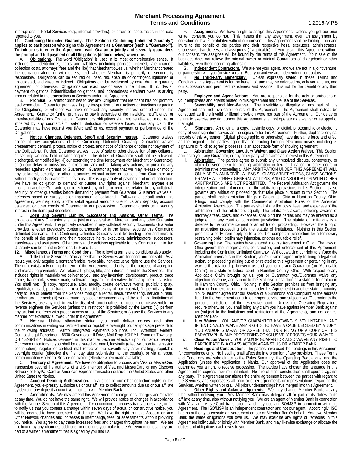interruptions in Portal Services (e.g., internet providers), or errors or inaccuracies in the data reported to you.

11. Continuing Unlimited Guaranty. This Section ("Continuing Unlimited Guaranty") applies to each person who signs this Agreement as a Guarantor (each a "Guarantor"). **To induce us to enter the Agreement, each Guarantor jointly and severally guarantees** 

**Obligations**. The word "Obligation" is used in its most comprehensive sense. includes all indebtedness, debts and liabilities (including principal, interest, late charges, collection costs, attorneys' fees and the like) that Merchant owes us, whether Merchant created the obligation alone or with others, and whether Merchant is primarily or secondarily responsible. Obligations can be secured or unsecured, absolute or contingent, liquidated or unliquidated, and direct or indirect. Obligations can be evidenced by note, draft, a guaranty agreement, or otherwise. Obligations can exist now or arise in the future. It includes all payment obligations, indemnification obligations, and indebtedness Merchant owes us arising from or related to the transactions or Services under this Agreement.

B. **Promise**. Guarantor promises to pay any Obligation that Merchant has not promptly paid when due. Guarantor promises to pay irrespective of our actions or inactions regarding the Obligations, or whether we have enforced any security interest created under this Agreement. Guarantor further promises to pay irrespective of the invalidity, insufficiency, or unenforceability of any Obligation. Guarantor's obligations shall not be affected, modified or impaired by any counterclaim, set-off, deduction or defense based upon any claim the Guarantor may have against you (Merchant) or us, except payment or performance of the **Obligations** 

C. **Notice, Changes, Defenses, Setoff and Security Interest**. Guarantor waives notice of any acceptances of this Continuing Unlimited Guaranty. Guarantor waives presentment, demand, protest, notice of protest, and notice of dishonor or other nonpayment of any Obligations. Further, Guarantor waives notice of sale or other disposition of any collateral or security we now hold or later acquire. The duties of Guarantor shall not be released, discharged, or modified by: (i) our extending the time for payment (for Merchant or Guarantor); or (ii) our delay or omissions in exercising any rights, taking any actions, or pursuing any remedies against Merchant or Guarantor. Guarantor agrees that we may release or modify any collateral, security, or other guaranties without notice or consent from Guarantor and without modifying Guarantor's duties to us. This is a guaranty of payment and not of collection. We have no obligation to demand or pursue any rights against Merchant, anyone else (including another Guarantor), or to exhaust any rights or remedies related to any collateral, security, or other guaranties before demanding payment from Guarantor. Guarantor waives all defenses based on suretyship or impairment of collateral. Following a default under this Agreement, we may apply and/or setoff against amounts due to us any deposits, account balances, or other credits of Guarantor in our possession. Guarantor grants us a security interest in the items just described.

D. **Joint and Several Liability, Successor and Assigns, Other Terms**. The obligations of any Guarantor shall be joint and several with Merchant and any other Guarantor under this Agreement. The property described in any collateral security documents Guarantor provides, whether previously, contemporaneously, or in the future, secures this Continuing Unlimited Guaranty. This Continuing Unlimited Guaranty shall be binding upon and inure to the benefit of the parties and their respective heirs, executors, administrators, successors, transferees and assignees. Other terms and conditions applicable to this Continuing Unlimited Guaranty can be found in Sections 12.F and 12.L.

12. Miscellaneous Terms and Conditions. The following terms and conditions also apply

A. **Title to the Services.** You agree that the Services are licensed and not sold. As a result, you only acquire a nontransferable, revocable, non-exclusive right to use the Services. The right exists only during the term of the Agreement, and only for the purpose of accepting and managing payments. We retain all right(s), title, and interest in and to the Services. This includes rights in materials we deliver to you, and any invention, development, product, trade name, trademark, service mark, software program, or derivative from any item just listed.<br>You shall not: (i) copy, reproduce, alter, modify, create derivative works, publicly display, republish, upload, post, transmit, resell, or distribute any of our material; (ii) permit any third<br>party to use or benefit from the Services through a rental, lease, timesharing, service bureau,<br>or other arrangement; (iii or other arrangement; (iii) work around, bypass or circumvent any of the technical limitations of the Services, use any tool to enable disabled functionalities, or decompile, disassemble, or reverse engineer the Services (unless the restriction is prohibited by the Laws); (iv) perform any act that interferes with proper access or use of the Services; or (v) use the Services in any manner not expressly allowed under this Agreement.<br>B. **Notices** Unless otherwise stated vo

Notices. Unless otherwise stated, you shall deliver notices and other communications in writing via certified mail or reputable overnight courier (postage prepaid) to the following address: Vantiv Integrated Payments Solutions, Inc., Attention: General Counsel/Legal Department, 8500 Governors Hill Drive, Mail Drop 1GH1Y1, Symmes Township, OH 45249-1384. Notices delivered in this manner become effective upon our actual receipt. Our communications to you shall be delivered via email, facsimile (effective upon transmission confirmation), regular or certified mail (effective the seventh day after mailing), reputable overnight courier (effective the first day after submission to the courier), or via a report, communication via Portal Service or invoice (effective when made available).

communication via Portal Service or invoice (effective when made available). C. **Territory of Agreement.** We have no obligation to process any Visa or MasterCard transaction beyond the authority of a U.S. member of Visa and MasterCard or any Discover Network or PayPal Card or American Express transaction outside the United States and other United States territories.

D. **Account Debiting Authorization.** In addition to our other collection rights in this Agreement, you expressly authorize us or our affiliate to collect amounts due us or our affiliate by debiting any deposit account you maintain with Member Bank.

E. **Amendments.** We may amend this Agreement or change fees, charges and/or rates at any time. You do not have the same right. We will provide notice of changes in accordance with the Notices Section of this Agreement. If you continue to process transactions after, or fail to notify us that you contest a change within seven days of actual or constructive notice, you will be deemed to have accepted that change. We have the right to make Association and Other Network changes and increases in interchange, fees, or assessments without providing you notice. You agree to pay these increased fees and charges throughout the term. We are not bound by any changes, additions, or deletions you make to the Agreement unless they are part of a written amendment that is signed by you and us.

Assignment. We have a right to assign this Agreement. Unless you get our prior written consent, you do not. This means that any assignment, even an assignment by operation of law, is prohibited without our consent. This Agreement shall be binding upon and inure to the benefit of the parties and their respective heirs, executors, administrators, successors, transferees, and assignees (if applicable). If you assign this Agreement without our consent, the assignee will be bound by the terms of this Agreement. Your sale of the business does not relieve the original owner or original Guarantors of chargeback or other liabilities, even those occurring after sale.

G. Independent Contractors. We are not your agent, and we are not in a joint venture, or partnership with you (or vice-versa). Both you and we are independent contractors.

H. **No Third-Party Beneficiary.** Unless expressly stated in these Terms and Conditions, this Agreement is for the benefit of, and may be enforced by, only you and us, and our successors and permitted transferees and assigns. It is not for the benefit of any third party.

I. **Employee and Agent Actions.** You are responsible for the acts or omissions of your employees and agents related to this Agreement and the use of the Services.

J. **Severability and Non-Waiver.** The invalidity or illegality of any part of this Agreement shall not invalidate the rest of the Agreement. The Agreement shall instead be construed as if the invalid or illegal provision were not part of the Agreement. Our delay or failure to exercise any right under this Agreement shall not operate as a waiver or estoppel of that right.

K. **Signature.** An original, a copy, facsimile copy, or digital, photographic or electronic copy of your signature serves as the signature for this Agreement. Further, duplicate original records of this Agreement (digital, photographic, or otherwise) have the same force and effect as the original. The parties agree that contracting through electronic means including e-<br>signature or "click to agree" processes is an acceptable form of showing agreement.

L. **Arbitration, Governing Law, Jury Waiver, and Class Action Waiver.** This Section applies to you, any Guarantor, or any other party who claims an interest in this Agreement.

- i. **Arbitration.** The parties agree to submit any unresolved dispute, controversy, or claim between them to binding arbitration in lieu of litigation or other court or administrative proceedings. ANY ARBITRATION UNDER THIS AGREEMENT WILL ONLY BE ON AN INDIVIDUAL BASIS. CLASS ARBITRATIONS, CLASS ACTIONS, PRIVATE ATTORNEY GENERAL ACTIONS, AND CONSOLIDATION WITH OTHER ARBITRATIONS ARE NOT PERMITTED. The Federal Arbitration Act governs the interpretation and enforcement of the arbitration provisions in this Section. It also governs any arbitration proceedings that take place pursuant to this Section. The parties shall make arbitration filings in Cincinnati, Ohio or Hamilton County, Ohio. Filings must comply with the Commercial Arbitration Rules of the American Arbitration Association. The parties shall share the costs, fees, and expenses of the arbitration and the arbitrators equally. The arbitrator's award, including awards of attorney's fees, costs, and expenses, shall bind the parties and may be entered as a judgment in any court of competent jurisdiction. The statute of limitations is a defense to the commencement of an arbitration proceeding. However, the filing of an arbitration proceeding tolls the statute of limitations. Nothing in this Section prohibits a party from applying to a court of competent jurisdiction for a temporary restraining order, preliminary injunction, or other equitable relief.
- ii. **Governing Law.** The parties have entered into this Agreement in Ohio. The laws of Ohio govern the interpretation, construction, and enforcement of this Agreement, including the Continuing Unlimited Guaranty. Without waiving our right to enforce the Arbitration provisions in this Section, you/Guarantor agree only to bring a legal suit, action, or proceeding arising out of or related to this Agreement or pertaining in any<br>way to the relationship between us and you, or us and Guarantor (an "Applicable Claim"), in a state or federal court in Hamilton County, Ohio. With respect to any Applicable Claim brought by us, you or Guarantor, you/Guarantor waive any objection to venue, and submit to the exclusive jurisdiction of a state or federal court in Hamilton County, Ohio. Nothing in this Section prohibits us from bringing any action or from exercising our rights under this Agreement in another state or country. You/Guarantor agree that our service of a Summons and Complaint at the address listed in the Agreement constitutes proper service and subjects you/Guarantor to the personal jurisdiction of the respective court. Unless the Operating Regulations require otherwise, you shall bring any claim you have against Member Bank against us (subject to the limitations and restrictions of the Agreement), and not against Member Bank.
- iii. **Jury Waiver.** YOU AND/OR GUARANTOR KNOWINGLY, VOLUNTARILY, AND INTENTIONALLY WAIVE ANY RIGHTS TO HAVE A CASE DECIDED BY A JURY. YOU AND/OR GUARANTOR AGREE THAT OUR FILING OF A COPY OF THIS PARAGRAPH IN ANY PROCEEDING CONCLUSIVELY PROVES YOUR WAIVER.
- iv. **Class Action Waiver.** YOU AND/OR GUARANTOR ALSO WAIVE ANY RIGHT TO

PARTICIPATE IN A CLASS ACTION AGAINST US OR MEMBER BANK. M. **Headings and Construction.** The parties have used the headings in this Agreement

for convenience only. No heading shall affect the interpretation of any provision. These Terms and Conditions are subordinate to the Rules Summary, the Operating Regulations, and the<br>Application (unless the Application is blank). Our approval of the Application does not guarantee you a right to receive processing. The parties have chosen the language in this Agreement to express their mutual intent. No rule of strict construction shall operate against any party. This Agreement constitutes the entire agreement between the parties with regard to the Services, and supersedes all prior or other agreements or representations regarding the Services, whether written or oral. All prior understandings have merged into this Agreement.

N. **Other Rights and Acknowledgements.** We may change Member Banks at any time without notifying you. Any Member Bank may delegate all or part of its duties to its affiliate at any time, also without notifying you. We are an agent of Member Bank in connection with Visa and MasterCard transactions, and may use an ISO/MSP in connection with this Agreement. The ISO/MSP is an independent contractor and not our agent. Accordingly, ISO has no authority to execute an Agreement on our or Member Bank's behalf. You owe Member Bank the same obligations you owe us. We may exercise any rights or remedies in this Agreement individually or jointly with Member Bank, and may likewise exchange or allocate the duties and obligations each owes to you.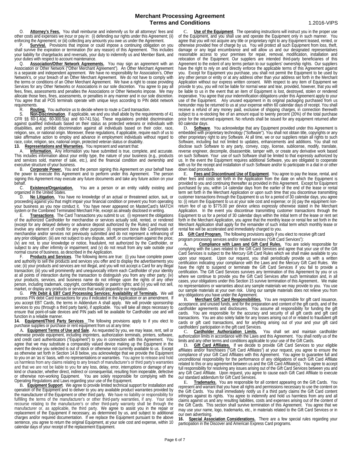O. **Attorney's Fees.** You shall reimburse and indemnify us for all attorneys' fees and other costs and expenses we incur or pay in: (i) defending our rights under this Agreement; (ii) enforcing the Agreement; or (iii) collecting any amounts you owe us under the Agreement.

Survival. Provisions that impose or could impose a continuing obligation on you shall survive the expiration or termination (for any reason) of this Agreement. This includes your liability for chargebacks and reversals, your duty to indemnify us and Member Bank, and your duties with respect to account maintenance.

Q. **Association/Other Network Agreements.** You may sign an agreement with an Association or Other Network ("Other Merchant Agreement"). An Other Merchant Agreement is a separate and independent agreement. We have no responsibility for Association's, Other Network's, or your breach of an Other Merchant Agreement. We do not have to comply with the terms or conditions of an Other Merchant Agreement. We have a right to cease providing Services for any Other Networks or Associations in our sole discretion. You agree to pay all fees, fines, assessments and penalties the Associations or Other Networks impose. We may allocate those fees, fines, assessments, or penalties in any manner and in our sole discretion. You agree that all POS terminals operate with unique keys according to PIN debit network requirements.<br>R. Rou

Routing. You authorize us to decide where to route a Card transaction.

S. **Non-Discrimination**. If applicable, we and you shall abide by the requirements of 41 CFR §§ 60-1.4(a), 60-300.5(a) and 60-741.5(a). These regulations prohibit discrimination against qualified individuals based on their status as protected veterans or individuals with disabilities, and prohibit discrimination against all individuals based on their color, race, religion, sex, or national origin. Moreover, these regulations, if applicable, require each of us to take affirmative action to employ and advance in employment individuals without regard to race, color, religion, sex, national origin, protected veteran status or disability.

**13. Representations and Warranties**. You represent and warrant that:<br>A. **Information.** Any information you have submitted is true, complete, and accurate. This includes information about your entity type, the nature of your business (e.g., products and services sold, manner of sale, etc.), and the financial condition and ownership and executive structure of your business.

B. Corporate Power. You and the person signing this Agreement on your behalf have the power to execute this Agreement and to perform under this Agreement. The person signing this Agreement may execute any future documents and take any future action on your behalf.<br>C.

**Existence/Organization.** You are a person or an entity validly existing and organized in the United States.<br>D. **No Litigation.** You

No Litigation. You have no knowledge of an actual or threatened action, suit, or proceeding against you that might impair your financial condition or prevent you from operating your business as you now conduct it. You have never appeared on MasterCard's MATCH system or the Combined Terminated Merchant File, except as already disclosed in writing.

E. **Transactions**. The Card Transactions you submit to us: (i) represent the obligations of the authorized Cardholder for merchandise or services actually sold, rented, or rendered (except for any delayed delivery or advance deposit authorized by the Rules) and must not involve any element of credit for any other purpose; (ii) represent *bona fide* Card/rentals of merchandise and/or services not previously submitted and do not represent a refinancing of any prior obligation; (iii) are not subject to any dispute, setoff, or counterclaim against the price; (iv) are not, to your knowledge or notice, fraudulent, not authorized by the Cardholder, or subject to any other infirmity or impairment; and (v) do not result from any sale outside your normal course of business, as described in the Application.

F. **Products and Services**. The following items are true: (i) you have complete power<br>and authority to sell the products and services you offer and to display the advertisements you and authority to sell the products and services you offer and to display the advertisements you<br>use; (ii) your products and services are not illegal, and you will not accept a Card for any illegal transaction; (iii) you will prominently and unequivocally inform each Cardholder of your identity at all points of interaction during the transaction to distinguish you from any other party; (iv) your products, services, and business name do not infringe upon the rights of any other person, including trademark, copyright, confidentiality or patent rights; and (v) you will not sell, market, or display any products or services that would jeopardize our reputation.

G. **PIN Debit & EBT Card Processing Services; Availability of Terminals.** We will process PIN debit Card transactions for you if indicated in the Application or an amendment. If you accept EBT Cards, the terms in Addendum A shall apply. We will provide sponsorship services to you (through a third party bank), if applicable. You will take all steps necessary to ensure that point-of-sale devices and PIN pads will be available for Cardholder use and will function in a reliable manner.

**14. Equipment/Third Party Services** The following provisions apply to if you elect to purchase supplies or purchase or rent equipment from us at any time:

A. **Equipment Terms of Use and Sale**. As requested by you, we may lease, rent, sell or otherwise provide equipment, including imprinters, authorization terminals, printers, software, and credit card authenticators ("Equipment") to you in connection with this Agreement. You agree that we may substitute a comparably valued device making up the Equipment in the event the device you selected is out of stock or otherwise not currently available to us. Except as otherwise set forth in Section 14.B below, you acknowledge that we provide the Equipment to you on an 'as is' basis, with no representations or warranties. You agree to release and hold us harmless from any claims relating to any breach of manufacturer's or third party's warranties and that we are not be liable to you for any loss, delay, error, interruptions or damage of any kind or character, whether direct, indirect or consequential, resulting from inoperable, defective or otherwise non-working Equipment. You are solely responsible for complying with the Operating Regulations and Laws regarding your use of the Equipment.

B. **Equipment Support**. We agree to provide limited technical support for installation and operation of the Equipment and to deliver to you any available product warranties provided by the manufacturer of the Equipment or other third party. We have no liability or responsibility for fulfilling the terms of the manufacturer's or other third-party warranties, if any. Your sole<br>recourse relating to the manufacturer's or other third-party warranty shall be through the manufacturer or, as applicable, the third party. We agree to assist you in the repair or replacement of the Equipment if necessary, as determined by us, and subject to additional charges and/or required documentation. If we replace the Equipment pursuant to the above sentence, you agree to return the original Equipment, at your sole cost and expense, within 10 calendar days of your receipt of the replacement Equipment.

**Use of the Equipment**. The operating instructions will instruct you in the proper use of the Equipment, and you shall use and operate the Equipment only in such manner. You agree that you will not acquire any title or proprietary right to any Equipment leased, rented, or otherwise provided free of charge by us. You will protect all such Equipment from loss, theft, damage or any legal encumbrance and will allow us and our designated representatives reasonable access to your premises for repair, removal, modification, installation and relocation of the Equipment. Our suppliers are intended third-party beneficiaries of this Agreement to the extent of any terms pertain to our suppliers' ownership rights. Our suppliers have the right to rely on and directly enforce the applicable terms of this Agreement against you. Except for Equipment you purchase, you shall not permit the Equipment to be used by any other person or entity or at any address other than your address set forth in the Merchant Application without our express written consent. With respect to any item of Equipment we provide to you, you will not be liable for normal wear and tear, provided, however, that you will be liable to us in the event that an item of Equipment is lost, destroyed, stolen or rendered inoperative. You agree that your indemnification obligations under this Agreement apply to your use of the Equipment. Any unused equipment in its original packaging purchased from us hereunder may be returned to us at your expense within 60 calendar days of receipt. You shall receive a refund of any money paid, exclusive of shipping charges, in connection therewith subject to a re-stocking fee of an amount equal to twenty percent (20%) of the total purchase price for the returned equipment. No refunds shall be issued for any equipment returned after 60 calendar days.

D. **Software**. You acknowledge that any Equipment provided under this Agreement is embedded with proprietary technology ("Software"). You shall not obtain title, copyrights or any other proprietary right to any Software. At all time, we or our suppliers retain all rights to such Software, including but not limited to updates, enhancements and additions. You shall not disclose such Software to any party, convey, copy, license, sublicense, modify, translate, reverse engineer, decompile, disassemble, tamper with, or create any derivative work based on such Software. Your use of such Software shall be limited to that expressly authorized by us. In the event the Equipment requires additional Software, you are obligated to cooperate with us for the receipt and installation of such Software and/or to participate in a dial in or other down load procedure.<br>E. Fees and Di

**Fees and Discontinued Use of Equipment**. You agree to pay the lease, rental, and other fees and costs set forth in the Application from the date on which the Equipment is provided to you and continuing thereafter as provided in this Agreement. Except for Equipment purchased by you, within 14 calendar days from the earlier of the end of the lease or rental term set forth in the Merchant Application or upon such time that you discontinue transmitting customer transactions through the Equipment to us for a period of 30 calendar days, you agree to: (i) return the Equipment to us at your sole cost and expense; or (ii) pay the equipment nonreturn fee of up to \$775.00 per device unless expressly otherwise stated in the Merchant Application. In the event you discontinue transmitting customer transactions through the Equipment to us for a period of 30 calendar days within the initial term of the lease or rent set forth in the Merchant Application, you agree that the monthly lease or rental fee set forth in the Merchant Application shall apply for the remainder of such initial term which monthly lease or rental fee will be accelerated and immediately charged to you.

**15. Gift Card Program.** The following provisions apply if you elect to receive gift card program processing services and/or related services ("Gift Card Services"):

A. **Compliance with Laws and Gift Card Rules.** You are solely responsible for complying with the Laws related to the Gift Card Services and agree that your use of the Gift Card Services is subject to the Mercury Gift Card Rules which we shall make available to you upon your request. Upon our request, you shall periodically provide us with a written certification indicating your compliance with the Laws and the Mercury Gift Card Rules. We have the right to suspend or terminate the Gift Card Services if you fail to provide a certification. The Gift Card Services survives any termination of this Agreement by you or us where we continue to provide you the Gift Card Services after such termination and, in all cases, your obligations under this Section 15 survive termination of this Agreement.. We make no representations or warranties about any sample materials we may provide to you. You use our sample materials at your own risk. Using our sample materials does not relieve you from any obligations you have under the Agreement.

B. Merchant Gift Card Responsibilities. You are responsible for gift card issuance, acceptance, and unused funds, and for the preparation and content of the gift cards, and of the cardholder agreements and disclosures. You assume all responsibility for funding the gift cards. You are responsible for the accuracy and security of all gift cards and gift card transactions. You are also solely liable for any losses arising out of or related to fraudulent gift cards or gift card transactions, and for anything arising out of your and your gift card

cardholders' participation in the gift card Services.<br>C. Cardholder Authorization Limits. You shall set and maintain cardholder authorization limits in accordance with the Laws and this Agreement. You shall notify us of the limits and any other terms and conditions applicable to your use of the Gift Cards.

limits and any other terms and conditions applicable to your use of the Gift Cards.<br>D. Cift Card Affiliates. If we decide to provide Gift Card Services to your eligible<br>affiliates and/or franchisees ("Gift Card Affiliates" compliance of your Gift Card Affiliates with this Agreement. You agree to guarantee full and unconditional responsibility for the performance of any obligations of each Gift Card Affiliate related to this or any agreement between us and the Gift Card Affiliate(s). You agree to accept full responsibility for resolving any issues arising out of the Gift Card Services between you and any Gift Card Affiliate. Upon request, you agree to cause each Gift Card Affiliate to execute our standard addendum for Gift Card Services.

E. **Trademarks.** You are responsible for all content appearing on the Gift Cards. You represent and warrant that you have all rights and permissions necessary to use the content on the Gift Cards. You shall immediately notify us if a third party claims the Gift Card content infringes against its rights. You agree to indemnify and hold us harmless from any and all claims against us and any resulting liabilities, costs and expenses arising out of the content of the Gift Cards. This section shall survive termination of this Agreement. You agree that we may use your name, logo, trademarks, etc., in materials related to the Gift Card Services or in our own advertising.<br>16. Special Asso

Special Association Considerations. There are a few special rules regarding your participation in the Discover and American Express Card programs.